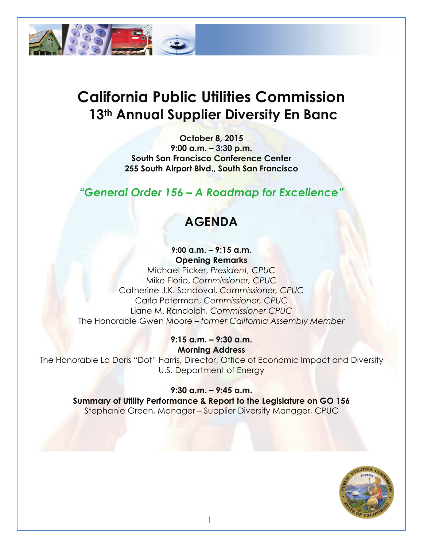

# **California Public Utilities Commission 13th Annual Supplier Diversity En Banc**

**October 8, 2015 9:00 a.m. – 3:30 p.m. South San Francisco Conference Center 255 South Airport Blvd., South San Francisco**

## *"General Order 156 – A Roadmap for Excellence"*

## **AGENDA**

#### **9:00 a.m. – 9:15 a.m. Opening Remarks**

Michael Picker, *President, CPUC* Mike Florio, *Commissioner, CPUC* Catherine J.K. Sandoval, *Commissioner, CPUC* Carla Peterman, *Commissioner, CPUC* Liane M. Randolph*, Commissioner CPUC* The Honorable Gwen Moore – *former California Assembly Member*

#### **9:15 a.m. – 9:30 a.m. Morning Address**

The Honorable La Doris "Dot" Harris, Director, Office of Economic Impact and Diversity U.S. Department of Energy

#### **9:30 a.m. – 9:45 a.m.**

**Summary of Utility Performance & Report to the Legislature on GO 156** Stephanie Green, Manager – Supplier Diversity Manager, CPUC

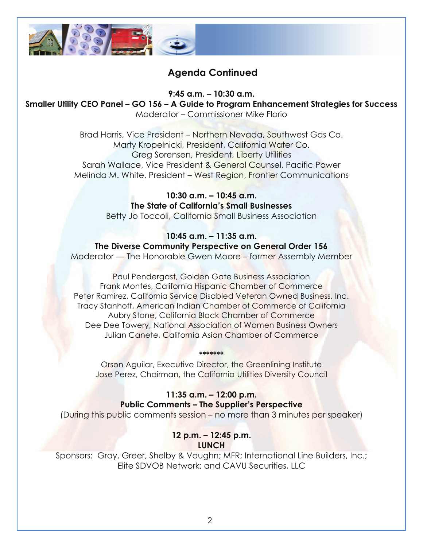

## **Agenda Continued**

**9:45 a.m. – 10:30 a.m.**

**Smaller Utility CEO Panel – GO 156 – A Guide to Program Enhancement Strategies for Success** Moderator – Commissioner Mike Florio

> Brad Harris, Vice President – Northern Nevada, Southwest Gas Co. Marty Kropelnicki, President, California Water Co. Greg Sorensen, President, Liberty Utilities Sarah Wallace, Vice President & General Counsel, Pacific Power Melinda M. White, President – West Region, Frontier Communications

> > **10:30 a.m. – 10:45 a.m. The State of California's Small Businesses** Betty Jo Toccoli, California Small Business Association

**10:45 a.m. – 11:35 a.m. The Diverse Community Perspective on General Order 156** Moderator — The Honorable Gwen Moore – former Assembly Member

Paul Pendergast, Golden Gate Business Association Frank Montes, California Hispanic Chamber of Commerce Peter Ramirez, California Service Disabled Veteran Owned Business, Inc. Tracy Stanhoff, American Indian Chamber of Commerce of California Aubry Stone, California Black Chamber of Commerce Dee Dee Towery, National Association of Women Business Owners Julian Canete, California Asian Chamber of Commerce

Orson Aguilar, Executive Director, the Greenlining Institute Jose Perez, Chairman, the California Utilities Diversity Council

**\*\*\*\*\*\*\***

**11:35 a.m. – 12:00 p.m. Public Comments – The Supplier's Perspective**

(During this public comments session – no more than 3 minutes per speaker)

#### **12 p.m. – 12:45 p.m. LUNCH**

Sponsors: Gray, Greer, Shelby & Vaughn; MFR; International Line Builders, Inc.; Elite SDVOB Network; and CAVU Securities, LLC